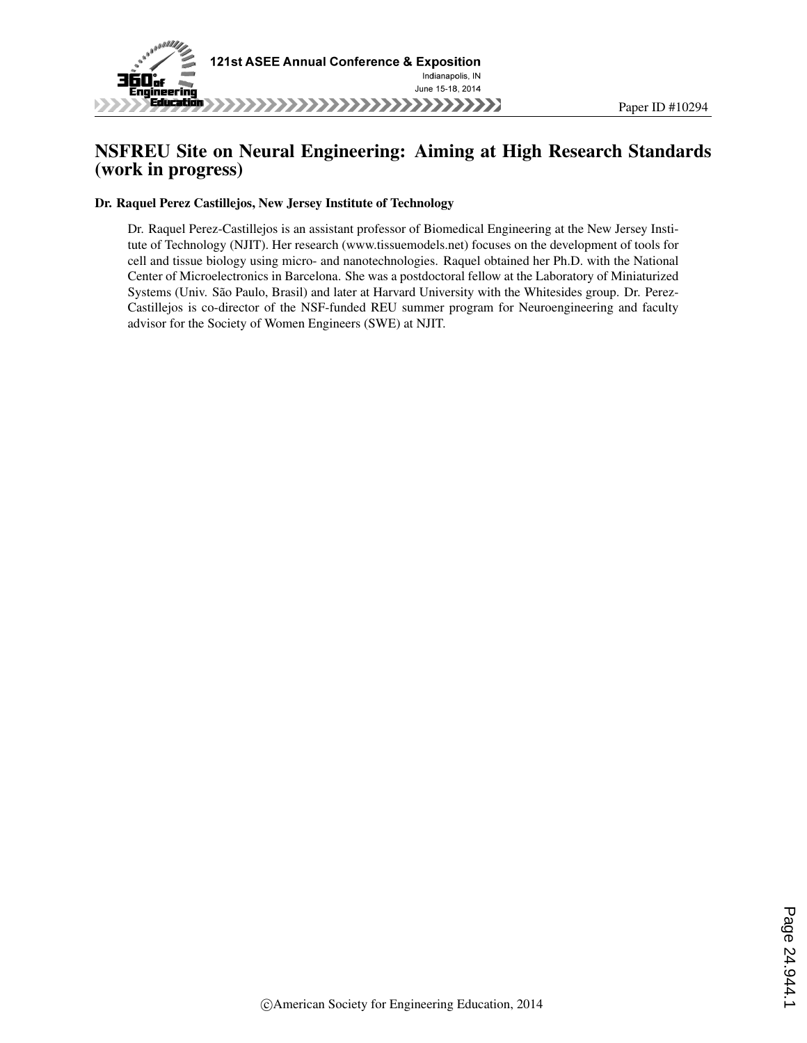

# NSFREU Site on Neural Engineering: Aiming at High Research Standards (work in progress)

### Dr. Raquel Perez Castillejos, New Jersey Institute of Technology

Dr. Raquel Perez-Castillejos is an assistant professor of Biomedical Engineering at the New Jersey Institute of Technology (NJIT). Her research (www.tissuemodels.net) focuses on the development of tools for cell and tissue biology using micro- and nanotechnologies. Raquel obtained her Ph.D. with the National Center of Microelectronics in Barcelona. She was a postdoctoral fellow at the Laboratory of Miniaturized Systems (Univ. São Paulo, Brasil) and later at Harvard University with the Whitesides group. Dr. Perez-Castillejos is co-director of the NSF-funded REU summer program for Neuroengineering and faculty advisor for the Society of Women Engineers (SWE) at NJIT.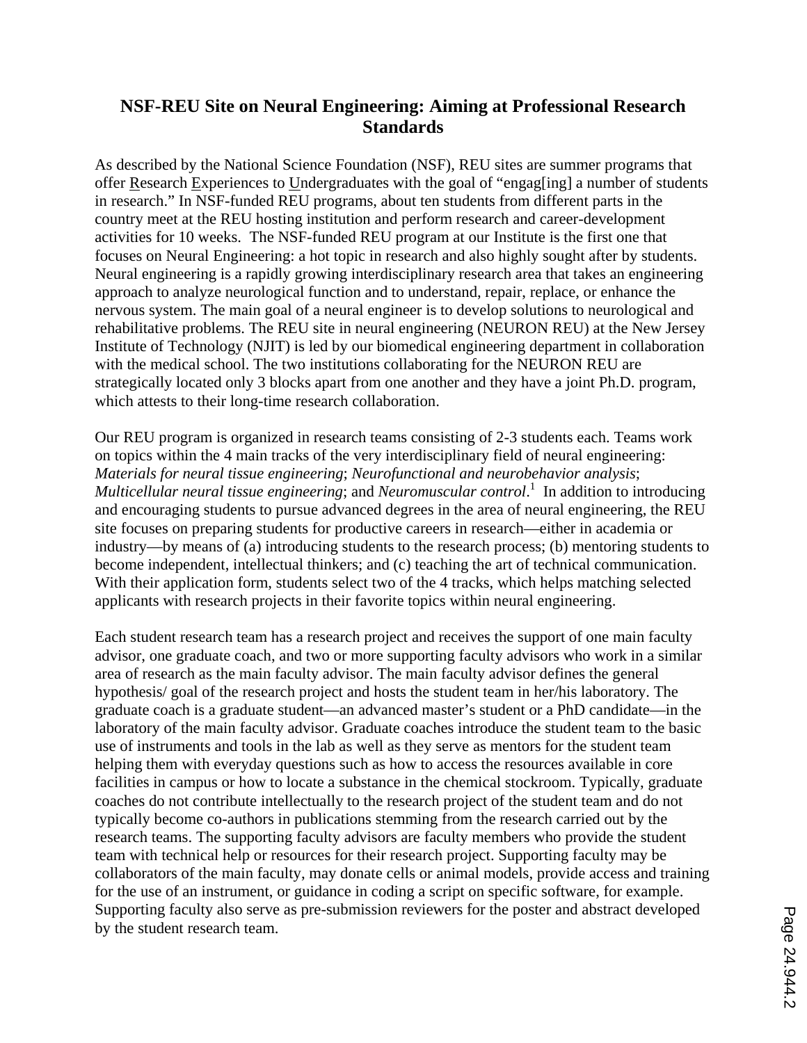# **NSF-REU Site on Neural Engineering: Aiming at Professional Research Standards**

As described by the National Science Foundation (NSF), REU sites are summer programs that offer Research Experiences to Undergraduates with the goal of "engag[ing] a number of students in research." In NSF-funded REU programs, about ten students from different parts in the country meet at the REU hosting institution and perform research and career-development activities for 10 weeks. The NSF-funded REU program at our Institute is the first one that focuses on Neural Engineering: a hot topic in research and also highly sought after by students. Neural engineering is a rapidly growing interdisciplinary research area that takes an engineering approach to analyze neurological function and to understand, repair, replace, or enhance the nervous system. The main goal of a neural engineer is to develop solutions to neurological and rehabilitative problems. The REU site in neural engineering (NEURON REU) at the New Jersey Institute of Technology (NJIT) is led by our biomedical engineering department in collaboration with the medical school. The two institutions collaborating for the NEURON REU are strategically located only 3 blocks apart from one another and they have a joint Ph.D. program, which attests to their long-time research collaboration.

Our REU program is organized in research teams consisting of 2-3 students each. Teams work on topics within the 4 main tracks of the very interdisciplinary field of neural engineering: *Materials for neural tissue engineering*; *Neurofunctional and neurobehavior analysis*; *Multicellular neural tissue engineering*; and *Neuromuscular control*. <sup>1</sup> In addition to introducing and encouraging students to pursue advanced degrees in the area of neural engineering, the REU site focuses on preparing students for productive careers in research—either in academia or industry—by means of (a) introducing students to the research process; (b) mentoring students to become independent, intellectual thinkers; and (c) teaching the art of technical communication. With their application form, students select two of the 4 tracks, which helps matching selected applicants with research projects in their favorite topics within neural engineering.

Each student research team has a research project and receives the support of one main faculty advisor, one graduate coach, and two or more supporting faculty advisors who work in a similar area of research as the main faculty advisor. The main faculty advisor defines the general hypothesis/ goal of the research project and hosts the student team in her/his laboratory. The graduate coach is a graduate student—an advanced master's student or a PhD candidate—in the laboratory of the main faculty advisor. Graduate coaches introduce the student team to the basic use of instruments and tools in the lab as well as they serve as mentors for the student team helping them with everyday questions such as how to access the resources available in core facilities in campus or how to locate a substance in the chemical stockroom. Typically, graduate coaches do not contribute intellectually to the research project of the student team and do not typically become co-authors in publications stemming from the research carried out by the research teams. The supporting faculty advisors are faculty members who provide the student team with technical help or resources for their research project. Supporting faculty may be collaborators of the main faculty, may donate cells or animal models, provide access and training for the use of an instrument, or guidance in coding a script on specific software, for example. Supporting faculty also serve as pre-submission reviewers for the poster and abstract developed by the student research team.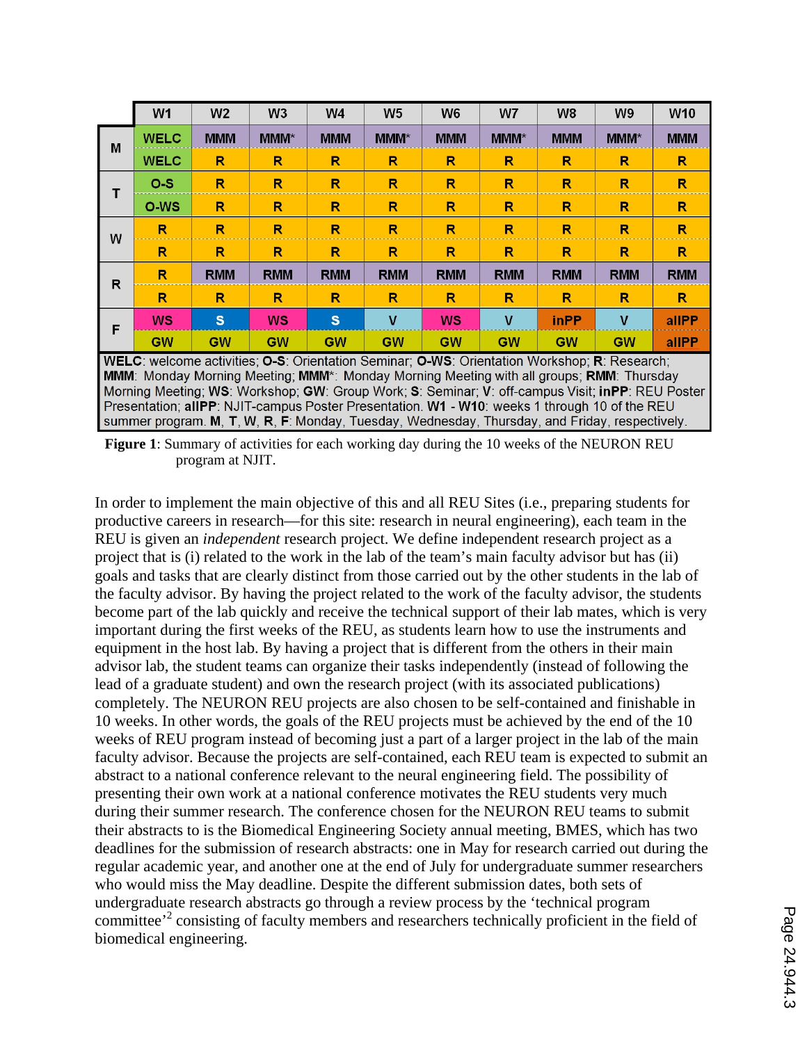|   | W1                                                                                                                                                                                       | W <sub>2</sub> | W <sub>3</sub> | W4         | W <sub>5</sub> | W <sub>6</sub> | W7         | W <sub>8</sub>          | W <sub>9</sub> | <b>W10</b>   |
|---|------------------------------------------------------------------------------------------------------------------------------------------------------------------------------------------|----------------|----------------|------------|----------------|----------------|------------|-------------------------|----------------|--------------|
| M | <b>WELC</b>                                                                                                                                                                              | <b>MMM</b>     | <b>MMM*</b>    | <b>MMM</b> | $MM^*$         | <b>MMM</b>     | $MM^*$     | <b>MMM</b>              | <b>MMM</b> *   | <b>MMM</b>   |
|   | <b>WELC</b>                                                                                                                                                                              | R              | R              | R          | R              | R              | R          | R                       | R              | R            |
| т | $O-S$                                                                                                                                                                                    | R              | R              | R          | R              | R              | R          | R                       | R              | R            |
|   | O-WS                                                                                                                                                                                     | R              | R              | R          | R              | R              | R          | R                       | R              | R            |
| w | R                                                                                                                                                                                        | R              | R              | R          | R              | R              | R          | $\overline{\mathsf{R}}$ | R              | $\mathsf{R}$ |
|   | R                                                                                                                                                                                        | R              | R              | R          | R              | R              | R          | $\mathsf R$             | R              | R            |
| R | R                                                                                                                                                                                        | <b>RMM</b>     | <b>RMM</b>     | <b>RMM</b> | <b>RMM</b>     | <b>RMM</b>     | <b>RMM</b> | <b>RMM</b>              | <b>RMM</b>     | <b>RMM</b>   |
|   | R                                                                                                                                                                                        | R              | R              | R          | R              | R              | R          | R                       | R              | R            |
| F | <b>WS</b>                                                                                                                                                                                | S              | <b>WS</b>      | S          | V              | <b>WS</b>      | v          | <b>inPP</b>             | v              | allPP        |
|   | <b>GW</b>                                                                                                                                                                                | <b>GW</b>      | <b>CW</b>      | <b>GW</b>  | <b>GW</b>      | <b>GW</b>      | <b>GW</b>  | <b>GW</b>               | <b>GW</b>      | allPP        |
|   | WELC: welcome activities; O-S: Orientation Seminar; O-WS: Orientation Workshop; R: Research;<br>MMM: Monday Morning Meeting: MMM*: Monday Morning Meeting with all groups: RMM: Thursday |                |                |            |                |                |            |                         |                |              |

Morning Meeting; WS: Workshop; GW: Group Work; S: Seminar; V: off-campus Visit; inPP: REU Poster Presentation; allPP: NJIT-campus Poster Presentation. W1 - W10: weeks 1 through 10 of the REU summer program. M, T, W, R, F: Monday, Tuesday, Wednesday, Thursday, and Friday, respectively.

**Figure 1**: Summary of activities for each working day during the 10 weeks of the NEURON REU program at NJIT.

In order to implement the main objective of this and all REU Sites (i.e., preparing students for productive careers in research—for this site: research in neural engineering), each team in the REU is given an *independent* research project. We define independent research project as a project that is (i) related to the work in the lab of the team's main faculty advisor but has (ii) goals and tasks that are clearly distinct from those carried out by the other students in the lab of the faculty advisor. By having the project related to the work of the faculty advisor, the students become part of the lab quickly and receive the technical support of their lab mates, which is very important during the first weeks of the REU, as students learn how to use the instruments and equipment in the host lab. By having a project that is different from the others in their main advisor lab, the student teams can organize their tasks independently (instead of following the lead of a graduate student) and own the research project (with its associated publications) completely. The NEURON REU projects are also chosen to be self-contained and finishable in 10 weeks. In other words, the goals of the REU projects must be achieved by the end of the 10 weeks of REU program instead of becoming just a part of a larger project in the lab of the main faculty advisor. Because the projects are self-contained, each REU team is expected to submit an abstract to a national conference relevant to the neural engineering field. The possibility of presenting their own work at a national conference motivates the REU students very much during their summer research. The conference chosen for the NEURON REU teams to submit their abstracts to is the Biomedical Engineering Society annual meeting, BMES, which has two deadlines for the submission of research abstracts: one in May for research carried out during the regular academic year, and another one at the end of July for undergraduate summer researchers who would miss the May deadline. Despite the different submission dates, both sets of undergraduate research abstracts go through a review process by the 'technical program committee'<sup>2</sup> consisting of faculty members and researchers technically proficient in the field of biomedical engineering.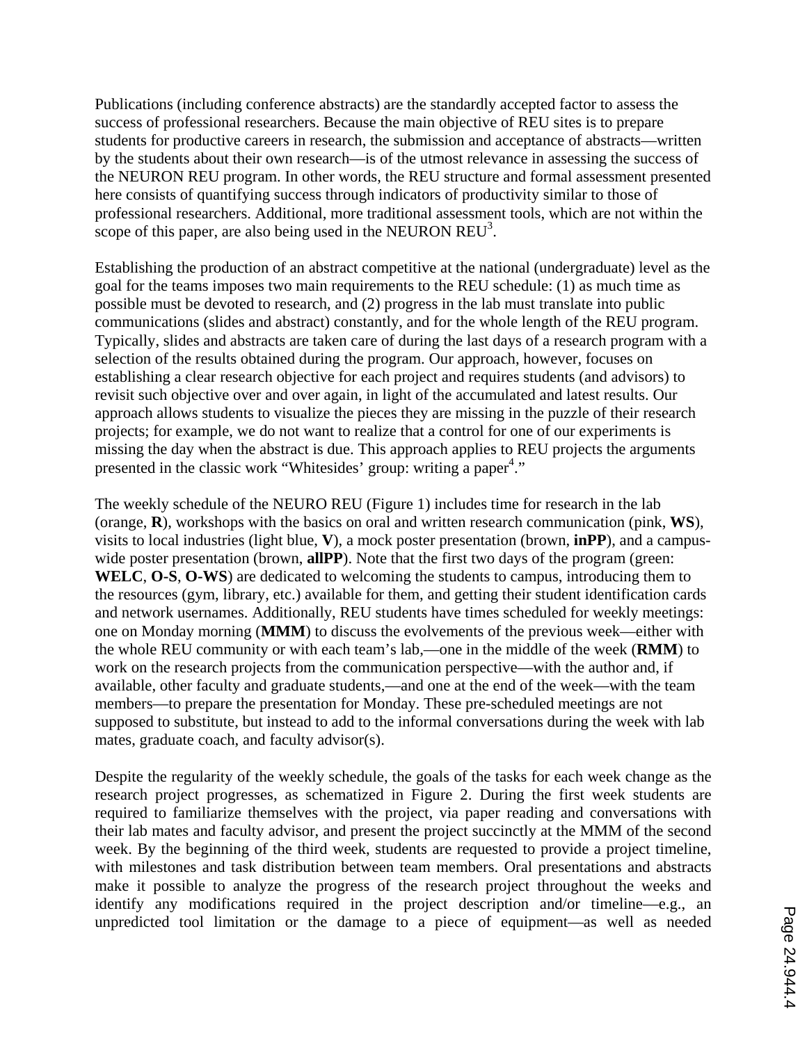Publications (including conference abstracts) are the standardly accepted factor to assess the success of professional researchers. Because the main objective of REU sites is to prepare students for productive careers in research, the submission and acceptance of abstracts—written by the students about their own research—is of the utmost relevance in assessing the success of the NEURON REU program. In other words, the REU structure and formal assessment presented here consists of quantifying success through indicators of productivity similar to those of professional researchers. Additional, more traditional assessment tools, which are not within the scope of this paper, are also being used in the NEURON  $REU<sup>3</sup>$ .

Establishing the production of an abstract competitive at the national (undergraduate) level as the goal for the teams imposes two main requirements to the REU schedule: (1) as much time as possible must be devoted to research, and (2) progress in the lab must translate into public communications (slides and abstract) constantly, and for the whole length of the REU program. Typically, slides and abstracts are taken care of during the last days of a research program with a selection of the results obtained during the program. Our approach, however, focuses on establishing a clear research objective for each project and requires students (and advisors) to revisit such objective over and over again, in light of the accumulated and latest results. Our approach allows students to visualize the pieces they are missing in the puzzle of their research projects; for example, we do not want to realize that a control for one of our experiments is missing the day when the abstract is due. This approach applies to REU projects the arguments presented in the classic work "Whitesides' group: writing a paper<sup>4</sup>."

The weekly schedule of the NEURO REU (Figure 1) includes time for research in the lab (orange, **R**), workshops with the basics on oral and written research communication (pink, **WS**), visits to local industries (light blue, **V**), a mock poster presentation (brown, **inPP**), and a campuswide poster presentation (brown, **allPP**). Note that the first two days of the program (green: **WELC**, **O-S**, **O-WS**) are dedicated to welcoming the students to campus, introducing them to the resources (gym, library, etc.) available for them, and getting their student identification cards and network usernames. Additionally, REU students have times scheduled for weekly meetings: one on Monday morning (**MMM**) to discuss the evolvements of the previous week—either with the whole REU community or with each team's lab,—one in the middle of the week (**RMM**) to work on the research projects from the communication perspective—with the author and, if available, other faculty and graduate students,—and one at the end of the week—with the team members—to prepare the presentation for Monday. These pre-scheduled meetings are not supposed to substitute, but instead to add to the informal conversations during the week with lab mates, graduate coach, and faculty advisor(s).

Despite the regularity of the weekly schedule, the goals of the tasks for each week change as the research project progresses, as schematized in Figure 2. During the first week students are required to familiarize themselves with the project, via paper reading and conversations with their lab mates and faculty advisor, and present the project succinctly at the MMM of the second week. By the beginning of the third week, students are requested to provide a project timeline, with milestones and task distribution between team members. Oral presentations and abstracts make it possible to analyze the progress of the research project throughout the weeks and identify any modifications required in the project description and/or timeline—e.g., an unpredicted tool limitation or the damage to a piece of equipment—as well as needed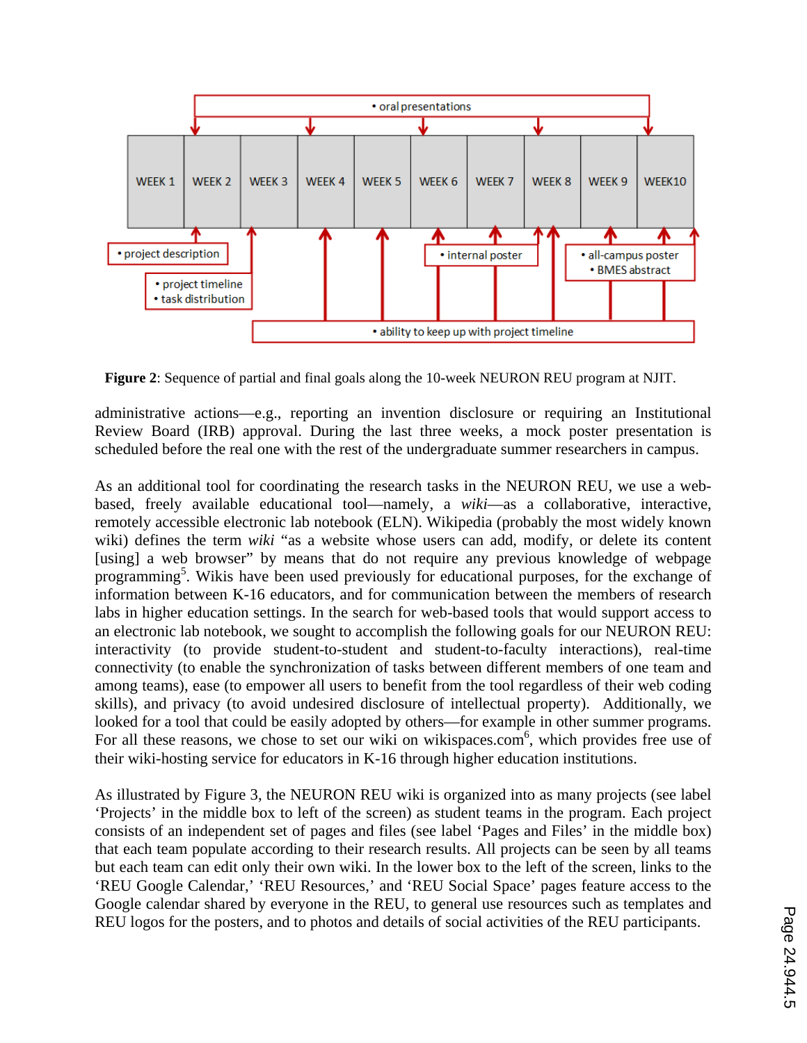

**Figure 2**: Sequence of partial and final goals along the 10-week NEURON REU program at NJIT.

administrative actions—e.g., reporting an invention disclosure or requiring an Institutional Review Board (IRB) approval. During the last three weeks, a mock poster presentation is scheduled before the real one with the rest of the undergraduate summer researchers in campus.

As an additional tool for coordinating the research tasks in the NEURON REU, we use a webbased, freely available educational tool—namely, a *wiki*—as a collaborative, interactive, remotely accessible electronic lab notebook (ELN). Wikipedia (probably the most widely known wiki) defines the term *wiki* "as a website whose users can add, modify, or delete its content [using] a web browser" by means that do not require any previous knowledge of webpage programming<sup>5</sup>. Wikis have been used previously for educational purposes, for the exchange of information between K-16 educators, and for communication between the members of research labs in higher education settings. In the search for web-based tools that would support access to an electronic lab notebook, we sought to accomplish the following goals for our NEURON REU: interactivity (to provide student-to-student and student-to-faculty interactions), real-time connectivity (to enable the synchronization of tasks between different members of one team and among teams), ease (to empower all users to benefit from the tool regardless of their web coding skills), and privacy (to avoid undesired disclosure of intellectual property). Additionally, we looked for a tool that could be easily adopted by others—for example in other summer programs. For all these reasons, we chose to set our wiki on wikispaces.com<sup>6</sup>, which provides free use of their wiki-hosting service for educators in K-16 through higher education institutions.

As illustrated by Figure 3, the NEURON REU wiki is organized into as many projects (see label 'Projects' in the middle box to left of the screen) as student teams in the program. Each project consists of an independent set of pages and files (see label 'Pages and Files' in the middle box) that each team populate according to their research results. All projects can be seen by all teams but each team can edit only their own wiki. In the lower box to the left of the screen, links to the 'REU Google Calendar,' 'REU Resources,' and 'REU Social Space' pages feature access to the Google calendar shared by everyone in the REU, to general use resources such as templates and REU logos for the posters, and to photos and details of social activities of the REU participants.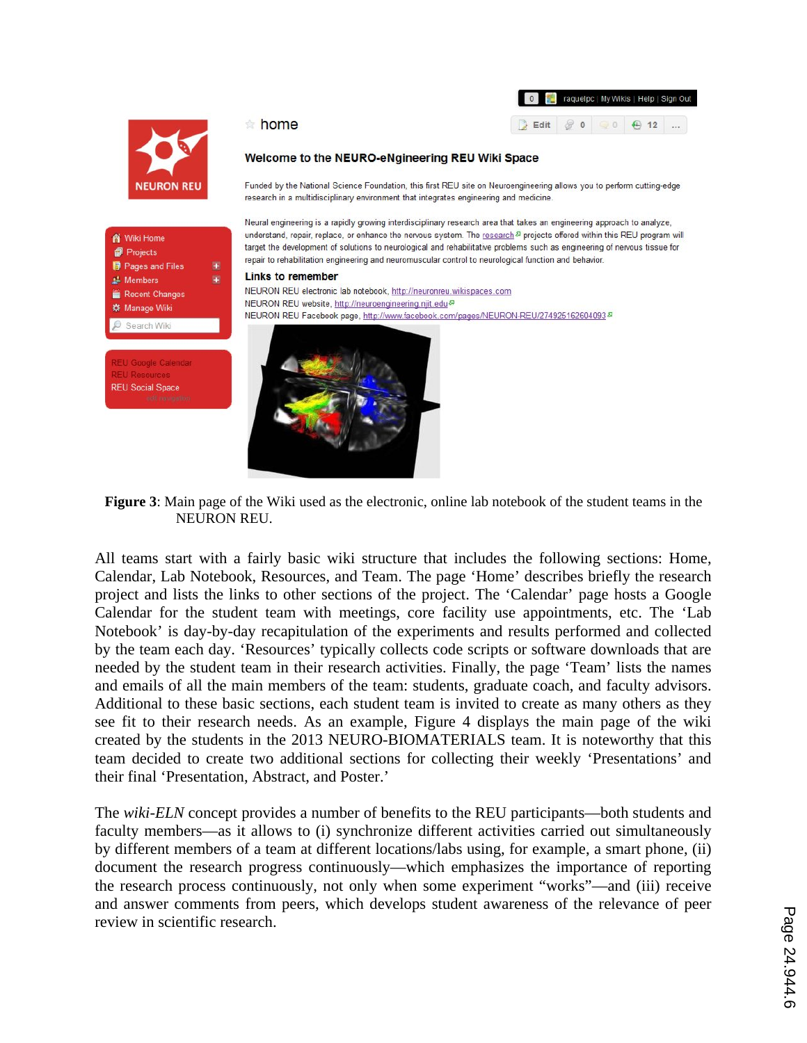|          | 0 F. raquelpc   My Wikis   Help   Sign Out |  |        |  |  |  |  |
|----------|--------------------------------------------|--|--------|--|--|--|--|
| Edit & 0 |                                            |  | ○ → 12 |  |  |  |  |



**A** Wiki Home

Projects

Members

Pages and Files

Recent Changes

※ Manage Wiki

Search Wiki

**REU Social Space** 

### Welcome to the NEURO-eNgineering REU Wiki Space

Funded by the National Science Foundation, this first REU site on Neuroengineering allows you to perform cutting-edge research in a multidisciplinary environment that integrates engineering and medicine.

Neural engineering is a rapidly growing interdisciplinary research area that takes an engineering approach to analyze, understand, repair, replace, or enhance the nervous system. The research<sup>2</sup> projects offered within this REU program will target the development of solutions to neurological and rehabilitative problems such as engineering of nervous tissue for repair to rehabilitation engineering and neuromuscular control to neurological function and behavior.

#### **Links to remember**

home

NEURON REU electronic lab notebook, http://neuronreu.wikispaces.com NEURON REU website, http://neuroengineering.njit.edu & NEURON REU Facebook page, http://www.facebook.com/pages/NEURON-REU/274925162604093<sup>8</sup>



**Figure 3**: Main page of the Wiki used as the electronic, online lab notebook of the student teams in the NEURON REU.

All teams start with a fairly basic wiki structure that includes the following sections: Home, Calendar, Lab Notebook, Resources, and Team. The page 'Home' describes briefly the research project and lists the links to other sections of the project. The 'Calendar' page hosts a Google Calendar for the student team with meetings, core facility use appointments, etc. The 'Lab Notebook' is day-by-day recapitulation of the experiments and results performed and collected by the team each day. 'Resources' typically collects code scripts or software downloads that are needed by the student team in their research activities. Finally, the page 'Team' lists the names and emails of all the main members of the team: students, graduate coach, and faculty advisors. Additional to these basic sections, each student team is invited to create as many others as they see fit to their research needs. As an example, Figure 4 displays the main page of the wiki created by the students in the 2013 NEURO-BIOMATERIALS team. It is noteworthy that this team decided to create two additional sections for collecting their weekly 'Presentations' and their final 'Presentation, Abstract, and Poster.'

The *wiki-ELN* concept provides a number of benefits to the REU participants—both students and faculty members—as it allows to (i) synchronize different activities carried out simultaneously by different members of a team at different locations/labs using, for example, a smart phone, (ii) document the research progress continuously—which emphasizes the importance of reporting the research process continuously, not only when some experiment "works"—and (iii) receive and answer comments from peers, which develops student awareness of the relevance of peer review in scientific research.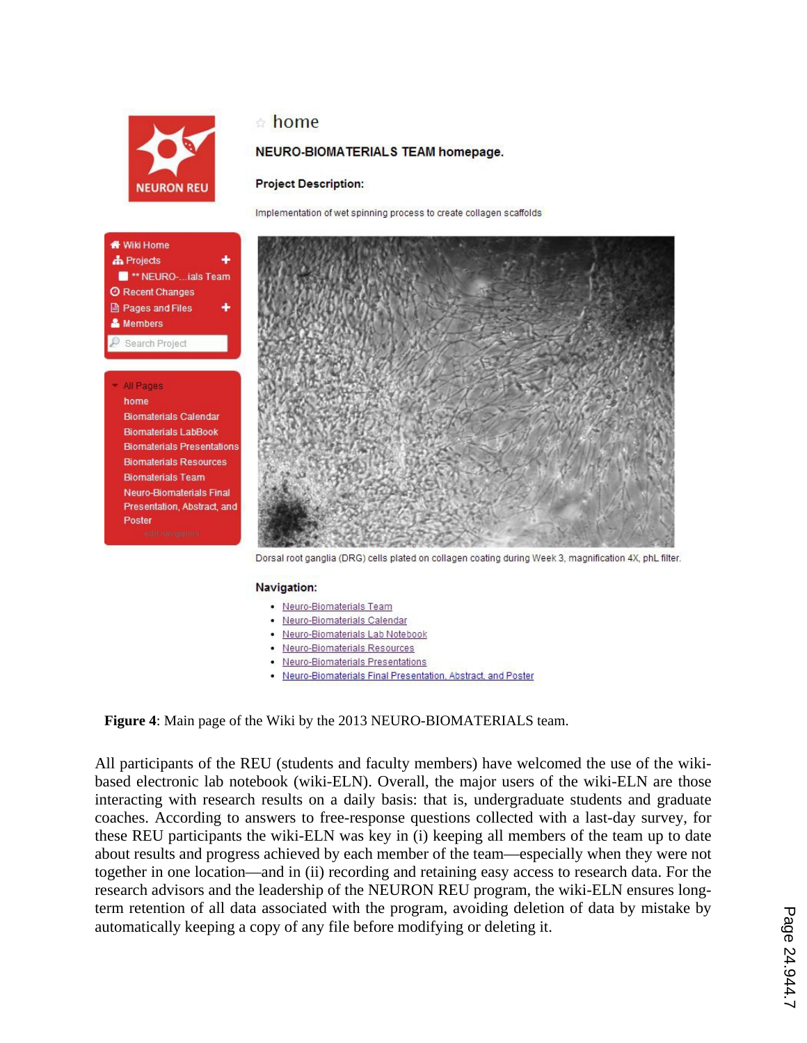

<sup>\*\*</sup> NEURO-...ials Team **@ Recent Changes ■ Pages and Files** & Members Search Project

> **Biomaterials Calendar Biomaterials LabBook Biomaterials Presentations Biomaterials Resources Biomaterials Team Neuro-Biomaterials Final** Presentation, Abstract, and

Wiki Home **A** Projects

> All Pages home

Poster

## home

## NEURO-BIOMATERIALS TEAM homepage.

### **Project Description:**

Implementation of wet spinning process to create collagen scaffolds



Dorsal root ganglia (DRG) cells plated on collagen coating during Week 3, magnification 4X, phL filter.

### Navigation:

- Neuro-Biomaterials Team
- · Neuro-Biomaterials Calendar
- · Neuro-Biomaterials Lab Notebook
- · Neuro-Biomaterials Resources
- Neuro-Biomaterials Presentations
- . Neuro-Biomaterials Final Presentation, Abstract, and Poster

**Figure 4**: Main page of the Wiki by the 2013 NEURO-BIOMATERIALS team.

All participants of the REU (students and faculty members) have welcomed the use of the wikibased electronic lab notebook (wiki-ELN). Overall, the major users of the wiki-ELN are those interacting with research results on a daily basis: that is, undergraduate students and graduate coaches. According to answers to free-response questions collected with a last-day survey, for these REU participants the wiki-ELN was key in (i) keeping all members of the team up to date about results and progress achieved by each member of the team—especially when they were not together in one location—and in (ii) recording and retaining easy access to research data. For the research advisors and the leadership of the NEURON REU program, the wiki-ELN ensures longterm retention of all data associated with the program, avoiding deletion of data by mistake by automatically keeping a copy of any file before modifying or deleting it.